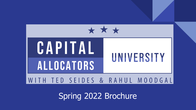

Spring 2022 Brochure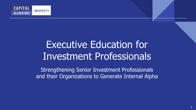

# Executive Education for Investment Professionals

Strengthening Senior Investment Professionals and their Organizations to Generate Internal Alpha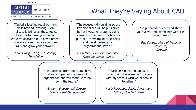

# What They're Saying About CAU

"Capital allocating requires many skills beyond investing. CAU holistically brings all these topics together to make you a more effective allocator in an environment where you can practice your new skills and grow your network."

Carlos Rangel, CIO, W.K. Kellogg Foundation

"The focused skill-building across key disciplines will help us drive better investment returns going forward. Great value for time as part of a commitment to learning and development at all organizational levels."

Jason Klein, CIO, Memorial Sloan Kettering Cancer Center

"Be prepared to learn and share your views and experience with likeminded peers."

Ben Cooper, Head of Manager Research, Cardano

"The teachings from the course have already impacted my role and organization and will continue to do so in the future."

Anthony Brzostowski, Director, Soditic Asset Management

"Each session had nuggets of wisdom, and I was excited to share with my team. I wish we all took it together!"

Kasia Karapuda, Senior Investment Officer, Oberlin College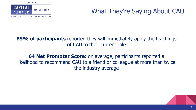

#### **85% of participants** reported they will immediately apply the teachings of CAU to their current role

**64 Net Promoter Score:** on average, participants reported a likelihood to recommend CAU to a friend or colleague at more than twice the industry average

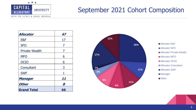

### September 2021 Cohort Composition

| Allocator             | 47 |
|-----------------------|----|
| E&F                   | 17 |
| <b>SFO</b>            | 7  |
| <b>Private Wealth</b> | 7  |
| <b>MFO</b>            | 6  |
| <b>OCIO</b>           | 6  |
| Consultant            | 3  |
| <b>SWF</b>            | 1  |
| <b>Manager</b>        | 11 |
| <b>Other</b>          | 8  |
| <b>Grand Total</b>    | 66 |



■Allocator E&F ■ Allocator SFO Allocator Private Wealth ■ Allocator MFO Allocator OCIO ■ Allocator Consultant Allocator SWF **Manager** ■Other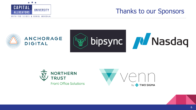

#### Thanks to our Sponsors







6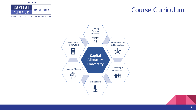

#### Course Curriculum



7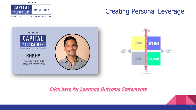

### Creating Personal Leverage

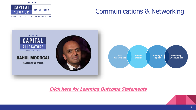

# Communications & Networking



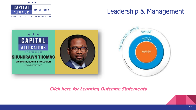

#### Leadership & Management

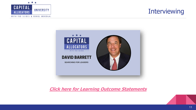

# **Interviewing**



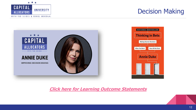

# Decision Making

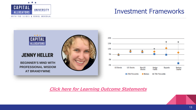

#### Investment Frameworks